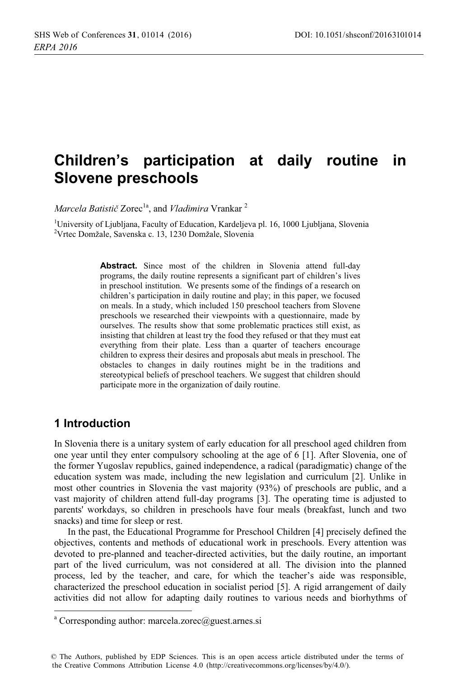### Children's participation at daily routine in **Slovene preschools**

Marcela Batistič Zorec<sup>1a</sup>, and Vladimira Vrankar<sup>2</sup>

<sup>1</sup>University of Ljubljana, Faculty of Education, Kardeljeva pl. 16, 1000 Ljubljana, Slovenia <sup>2</sup>Vrtec Domžale, Savenska c. 13, 1230 Domžale, Slovenia

> Abstract. Since most of the children in Slovenia attend full-day programs, the daily routine represents a significant part of children's lives in preschool institution. We presents some of the findings of a research on children's participation in daily routine and play; in this paper, we focused on meals. In a study, which included 150 preschool teachers from Slovene preschools we researched their viewpoints with a questionnaire, made by ourselves. The results show that some problematic practices still exist, as insisting that children at least try the food they refused or that they must eat everything from their plate. Less than a quarter of teachers encourage children to express their desires and proposals abut meals in preschool. The obstacles to changes in daily routines might be in the traditions and stereotypical beliefs of preschool teachers. We suggest that children should participate more in the organization of daily routine.

# 1 Introduction

In Slovenia there is a unitary system of early education for all preschool aged children from one year until they enter compulsory schooling at the age of 6 [1]. After Slovenia, one of the former Yugoslav republics, gained independence, a radical (paradigmatic) change of the education system was made, including the new legislation and curriculum [2]. Unlike in most other countries in Slovenia the vast majority (93%) of preschools are public, and a vast majority of children attend full-day programs [3]. The operating time is adjusted to parents' workdays, so children in preschools have four meals (breakfast, lunch and two snacks) and time for sleep or rest.

In the past, the Educational Programme for Preschool Children [4] precisely defined the objectives, contents and methods of educational work in preschools. Every attention was devoted to pre-planned and teacher-directed activities, but the daily routine, an important part of the lived curriculum, was not considered at all. The division into the planned process, led by the teacher, and care, for which the teacher's aide was responsible. characterized the preschool education in socialist period [5]. A rigid arrangement of daily activities did not allow for adapting daily routines to various needs and biorhythms of

<sup>&</sup>lt;sup>a</sup> Corresponding author: marcela.zorec@guest.arnes.si

<sup>©</sup> The Authors, published by EDP Sciences. This is an open access article distributed under the terms of the Creative Commons Attribution License 4.0 (http://creativecommons.org/licenses/by/4.0/).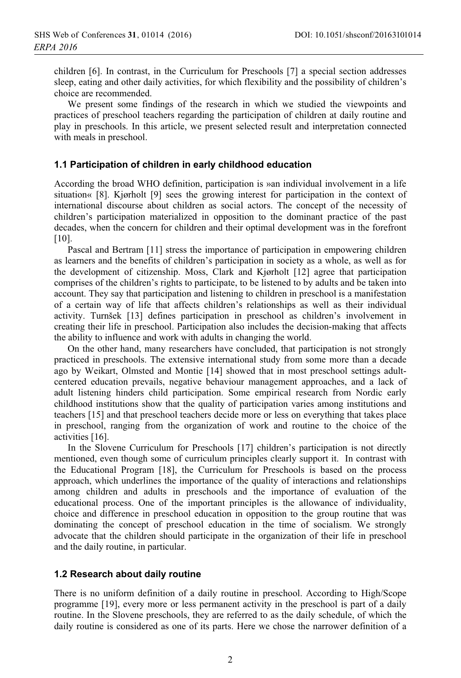children [6]. In contrast, in the Curriculum for Preschools [7] a special section addresses sleep, eating and other daily activities, for which flexibility and the possibility of children's choice are recommended

We present some findings of the research in which we studied the viewpoints and practices of preschool teachers regarding the participation of children at daily routine and play in preschools. In this article, we present selected result and interpretation connected with meals in preschool.

#### 1.1 Participation of children in early childhood education

According the broad WHO definition, participation is »an individual involvement in a life situation« [8]. Kjørholt [9] sees the growing interest for participation in the context of international discourse about children as social actors. The concept of the necessity of children's participation materialized in opposition to the dominant practice of the past decades, when the concern for children and their optimal development was in the forefront  $[10]$ .

Pascal and Bertram [11] stress the importance of participation in empowering children as learners and the benefits of children's participation in society as a whole, as well as for the development of citizenship. Moss, Clark and Kjørholt [12] agree that participation comprises of the children's rights to participate, to be listened to by adults and be taken into account. They say that participation and listening to children in preschool is a manifestation of a certain way of life that affects children's relationships as well as their individual activity. Turnšek [13] defines participation in preschool as children's involvement in creating their life in preschool. Participation also includes the decision-making that affects the ability to influence and work with adults in changing the world.

On the other hand, many researchers have concluded, that participation is not strongly practiced in preschools. The extensive international study from some more than a decade ago by Weikart, Olmsted and Montie [14] showed that in most preschool settings adultcentered education prevails, negative behaviour management approaches, and a lack of adult listening hinders child participation. Some empirical research from Nordic early childhood institutions show that the quality of participation varies among institutions and teachers [15] and that preschool teachers decide more or less on everything that takes place in preschool, ranging from the organization of work and routine to the choice of the activities [16].

In the Slovene Curriculum for Preschools [17] children's participation is not directly mentioned, even though some of curriculum principles clearly support it. In contrast with the Educational Program [18], the Curriculum for Preschools is based on the process approach, which underlines the importance of the quality of interactions and relationships among children and adults in preschools and the importance of evaluation of the educational process. One of the important principles is the allowance of individuality, choice and difference in preschool education in opposition to the group routine that was dominating the concept of preschool education in the time of socialism. We strongly advocate that the children should participate in the organization of their life in preschool and the daily routine, in particular.

#### 1.2 Research about daily routine

There is no uniform definition of a daily routine in preschool. According to High/Scope programme [19], every more or less permanent activity in the preschool is part of a daily routine. In the Slovene preschools, they are referred to as the daily schedule, of which the daily routine is considered as one of its parts. Here we chose the narrower definition of a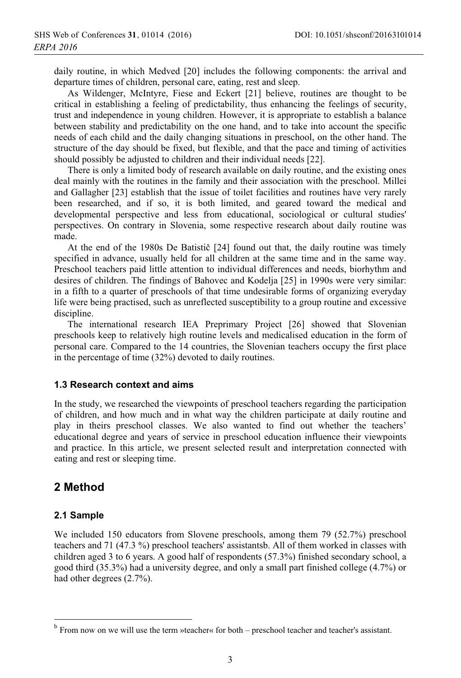daily routine, in which Medved [20] includes the following components: the arrival and departure times of children, personal care, eating, rest and sleep.

As Wildenger, McIntyre, Fiese and Eckert [21] believe, routines are thought to be critical in establishing a feeling of predictability, thus enhancing the feelings of security, trust and independence in young children. However, it is appropriate to establish a balance between stability and predictability on the one hand, and to take into account the specific needs of each child and the daily changing situations in preschool, on the other hand. The structure of the day should be fixed, but flexible, and that the pace and timing of activities should possibly be adjusted to children and their individual needs [22].

There is only a limited body of research available on daily routine, and the existing ones deal mainly with the routines in the family and their association with the preschool. Millei and Gallagher [23] establish that the issue of toilet facilities and routines have very rarely been researched, and if so, it is both limited, and geared toward the medical and developmental perspective and less from educational, sociological or cultural studies' perspectives. On contrary in Slovenia, some respective research about daily routine was made.

At the end of the 1980s De Batistič [24] found out that, the daily routine was timely specified in advance, usually held for all children at the same time and in the same way. Preschool teachers paid little attention to individual differences and needs, biorhythm and desires of children. The findings of Bahovec and Kodelja [25] in 1990s were very similar: in a fifth to a quarter of preschools of that time undesirable forms of organizing everyday life were being practised, such as unreflected susceptibility to a group routine and excessive discipline.

The international research IEA Preprimary Project [26] showed that Slovenian preschools keep to relatively high routine levels and medicalised education in the form of personal care. Compared to the 14 countries, the Slovenian teachers occupy the first place in the percentage of time  $(32\%)$  devoted to daily routines.

#### 1.3 Research context and aims

In the study, we researched the viewpoints of preschool teachers regarding the participation of children, and how much and in what way the children participate at daily routine and play in theirs preschool classes. We also wanted to find out whether the teachers' educational degree and years of service in preschool education influence their viewpoints and practice. In this article, we present selected result and interpretation connected with eating and rest or sleeping time.

## 2 Method

#### 2.1 Sample

We included 150 educators from Slovene preschools, among them  $79$  (52.7%) preschool teachers and 71 (47.3 %) preschool teachers' assistantsb. All of them worked in classes with children aged 3 to 6 years. A good half of respondents  $(57.3\%)$  finished secondary school, a good third  $(35.3\%)$  had a university degree, and only a small part finished college  $(4.7\%)$  or had other degrees  $(2.7\%)$ .

 $b$  From now on we will use the term »teacher« for both – preschool teacher and teacher's assistant.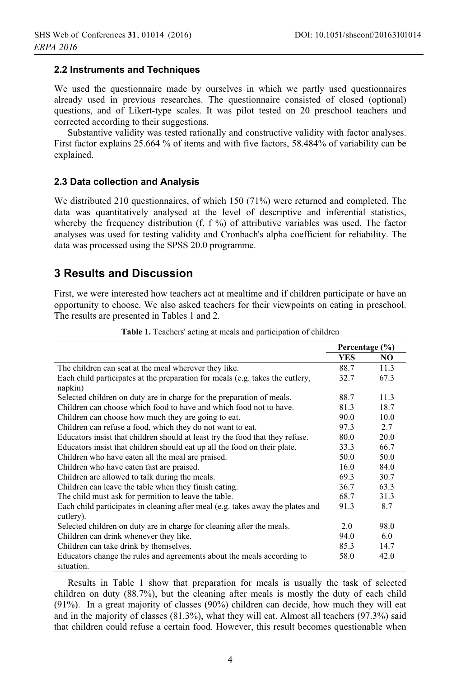#### 2.2 Instruments and Techniques

We used the questionnaire made by ourselves in which we partly used questionnaires already used in previous researches. The questionnaire consisted of closed (optional) questions, and of Likert-type scales. It was pilot tested on 20 preschool teachers and corrected according to their suggestions.

Substantive validity was tested rationally and constructive validity with factor analyses. First factor explains 25.664 % of items and with five factors, 58.484% of variability can be explained.

#### 2.3 Data collection and Analysis

We distributed 210 questionnaires, of which 150 (71%) were returned and completed. The data was quantitatively analysed at the level of descriptive and inferential statistics, whereby the frequency distribution (f,  $f$ %) of attributive variables was used. The factor analyses was used for testing validity and Cronbach's alpha coefficient for reliability. The data was processed using the SPSS 20.0 programme.

## **3 Results and Discussion**

First, we were interested how teachers act at mealtime and if children participate or have an opportunity to choose. We also asked teachers for their viewpoints on eating in preschool. The results are presented in Tables 1 and 2.

|                                                                                             | Percentage (%) |      |
|---------------------------------------------------------------------------------------------|----------------|------|
|                                                                                             | <b>YES</b>     | NO.  |
| The children can seat at the meal wherever they like.                                       | 88.7           | 11.3 |
| Each child participates at the preparation for meals (e.g. takes the cutlery,               | 32.7           | 67.3 |
| napkin)                                                                                     |                |      |
| Selected children on duty are in charge for the preparation of meals.                       | 88.7           | 11.3 |
| Children can choose which food to have and which food not to have.                          | 81.3           | 18.7 |
| Children can choose how much they are going to eat.                                         | 90.0           | 10.0 |
| Children can refuse a food, which they do not want to eat.                                  | 97.3           | 2.7  |
| Educators insist that children should at least try the food that they refuse.               | 80.0           | 20.0 |
| Educators insist that children should eat up all the food on their plate.                   | 33.3           | 66.7 |
| Children who have eaten all the meal are praised.                                           | 50.0           | 50.0 |
| Children who have eaten fast are praised.                                                   | 16.0           | 84.0 |
| Children are allowed to talk during the meals.                                              | 69.3           | 30.7 |
| Children can leave the table when they finish eating.                                       | 36.7           | 63.3 |
| The child must ask for permition to leave the table.                                        | 68.7           | 31.3 |
| Each child participates in cleaning after meal (e.g. takes away the plates and<br>cutlery). | 91.3           | 8.7  |
| Selected children on duty are in charge for cleaning after the meals.                       | 2.0            | 98.0 |
| Children can drink whenever they like.                                                      | 94.0           | 6.0  |
| Children can take drink by themselves.                                                      | 85.3           | 14.7 |
| Educators change the rules and agreements about the meals according to                      | 58.0           | 42.0 |
| situation.                                                                                  |                |      |

Table 1. Teachers' acting at meals and participation of children

Results in Table 1 show that preparation for meals is usually the task of selected children on duty  $(88.7%)$ , but the cleaning after meals is mostly the duty of each child (91%). In a great majority of classes (90%) children can decide, how much they will eat and in the majority of classes (81.3%), what they will eat. Almost all teachers (97.3%) said that children could refuse a certain food. However, this result becomes questionable when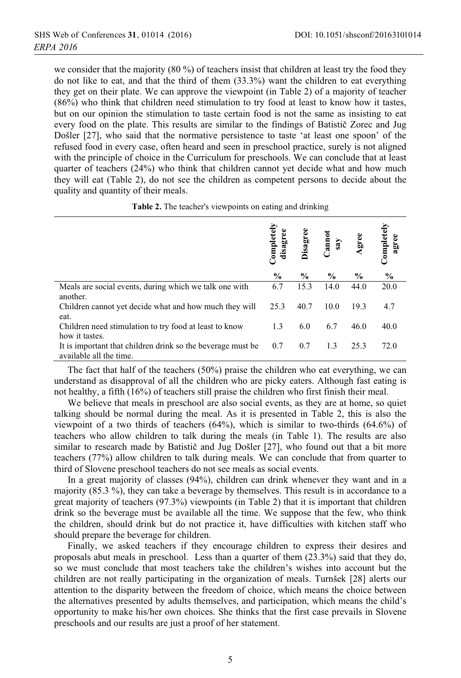we consider that the majority  $(80\%)$  of teachers insist that children at least try the food they do not like to eat, and that the third of them  $(33.3\%)$  want the children to eat everything they get on their plate. We can approve the viewpoint (in Table 2) of a majority of teacher (86%) who think that children need stimulation to try food at least to know how it tastes, but on our opinion the stimulation to taste certain food is not the same as insisting to eat every food on the plate. This results are similar to the findings of Batistič Zorec and Jug Došler [27], who said that the normative persistence to taste 'at least one spoon' of the refused food in every case, often heard and seen in preschool practice, surely is not aligned with the principle of choice in the Curriculum for preschools. We can conclude that at least quarter of teachers (24%) who think that children cannot yet decide what and how much they will eat (Table 2), do not see the children as competent persons to decide about the quality and quantity of their meals.

|                                                                                        | Completely<br>disagree | <b>Disagree</b> | Cannot<br>say | Agree | Completely<br>agree |
|----------------------------------------------------------------------------------------|------------------------|-----------------|---------------|-------|---------------------|
|                                                                                        | $\%$                   | $\%$            | $\frac{6}{9}$ | $\%$  | $\%$                |
| Meals are social events, during which we talk one with<br>another.                     | 6.7                    | 15.3            | 14.0          | 44.0  | 20.0                |
| Children cannot yet decide what and how much they will<br>eat.                         | 25.3                   | 40.7            | 10.0          | 19.3  | 4.7                 |
| Children need stimulation to try food at least to know<br>how it tastes.               | 1.3                    | 6.0             | 6.7           | 46.0  | 40.0                |
| It is important that children drink so the beverage must be<br>available all the time. | 0.7                    | 0.7             | 1.3           | 25.3  | 72.0                |

| <b>Table 2.</b> The teacher's viewpoints on eating and drinking |  |  |  |  |  |  |  |
|-----------------------------------------------------------------|--|--|--|--|--|--|--|
|-----------------------------------------------------------------|--|--|--|--|--|--|--|

The fact that half of the teachers  $(50\%)$  praise the children who eat everything, we can understand as disapproval of all the children who are picky eaters. Although fast eating is not healthy, a fifth (16%) of teachers still praise the children who first finish their meal.

We believe that meals in preschool are also social events, as they are at home, so quiet talking should be normal during the meal. As it is presented in Table 2, this is also the viewpoint of a two thirds of teachers (64%), which is similar to two-thirds (64.6%) of teachers who allow children to talk during the meals (in Table 1). The results are also similar to research made by Batistič and Jug Došler [27], who found out that a bit more teachers (77%) allow children to talk during meals. We can conclude that from quarter to third of Slovene preschool teachers do not see meals as social events.

In a great majority of classes (94%), children can drink whenever they want and in a majority  $(85.3 \%)$ , they can take a beverage by themselves. This result is in accordance to a great majority of teachers (97.3%) viewpoints (in Table 2) that it is important that children drink so the beverage must be available all the time. We suppose that the few, who think the children, should drink but do not practice it, have difficulties with kitchen staff who should prepare the beverage for children.

Finally, we asked teachers if they encourage children to express their desires and proposals abut meals in preschool. Less than a quarter of them  $(23.3\%)$  said that they do, so we must conclude that most teachers take the children's wishes into account but the children are not really participating in the organization of meals. Turnšek [28] alerts our attention to the disparity between the freedom of choice, which means the choice between the alternatives presented by adults themselves, and participation, which means the child's opportunity to make his/her own choices. She thinks that the first case prevails in Slovene preschools and our results are just a proof of her statement.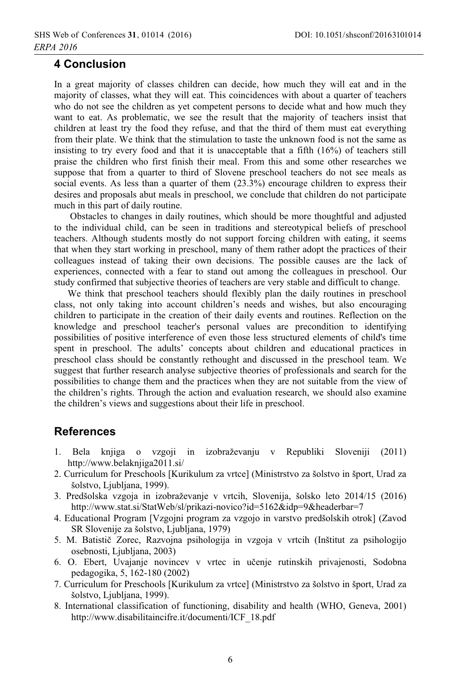### **4 Conclusion**

In a great majority of classes children can decide, how much they will eat and in the majority of classes, what they will eat. This coincidences with about a quarter of teachers who do not see the children as yet competent persons to decide what and how much they want to eat. As problematic, we see the result that the majority of teachers insist that children at least try the food they refuse, and that the third of them must eat everything from their plate. We think that the stimulation to taste the unknown food is not the same as insisting to try every food and that it is unacceptable that a fifth (16%) of teachers still praise the children who first finish their meal. From this and some other researches we suppose that from a quarter to third of Slovene preschool teachers do not see meals as social events. As less than a quarter of them (23.3%) encourage children to express their desires and proposals abut meals in preschool, we conclude that children do not participate much in this part of daily routine.

Obstacles to changes in daily routines, which should be more thoughtful and adjusted to the individual child, can be seen in traditions and stereotypical beliefs of preschool teachers. Although students mostly do not support forcing children with eating, it seems that when they start working in preschool, many of them rather adopt the practices of their colleagues instead of taking their own decisions. The possible causes are the lack of experiences, connected with a fear to stand out among the colleagues in preschool. Our study confirmed that subjective theories of teachers are very stable and difficult to change.

We think that preschool teachers should flexibly plan the daily routines in preschool class, not only taking into account children's needs and wishes, but also encouraging children to participate in the creation of their daily events and routines. Reflection on the knowledge and preschool teacher's personal values are precondition to identifying possibilities of positive interference of even those less structured elements of child's time spent in preschool. The adults' concepts about children and educational practices in preschool class should be constantly rethought and discussed in the preschool team. We suggest that further research analyse subjective theories of professionals and search for the possibilities to change them and the practices when they are not suitable from the view of the children's rights. Through the action and evaluation research, we should also examine the children's views and suggestions about their life in preschool.

### **References**

- knjiga o vzgoji in izobraževanju v Republiki Sloveniji (2011)  $1$ Bela http://www.belaknjiga2011.si/
- 2. Curriculum for Preschools [Kurikulum za vrtce] (Ministrstvo za šolstvo in šport, Urad za šolstvo, Ljubljana, 1999).
- 3. Predšolska vzgoja in izobraževanje v vrtcih, Slovenija, šolsko leto 2014/15 (2016) http://www.stat.si/StatWeb/sl/prikazi-novico?id=5162&idp=9&headerbar=7
- 4. Educational Program [Vzgojni program za vzgojo in varstvo predšolskih otrok] (Zavod SR Slovenije za šolstvo, Ljubljana, 1979)
- 5. M. Batistič Zorec, Razvojna psihologija in vzgoja v vrtcih (Inštitut za psihologijo osebnosti. Liubliana. 2003)
- 6. O. Ebert, Uvajanje novincev v vrtec in učenje rutinskih privajenosti, Sodobna pedagogika, 5, 162-180 (2002)
- 7. Curriculum for Preschools [Kurikulum za vrtce] (Ministrstvo za šolstvo in šport, Urad za šolstvo, Ljubljana, 1999).
- 8. International classification of functioning, disability and health (WHO, Geneva, 2001) http://www.disabilitaincifre.it/documenti/ICF 18.pdf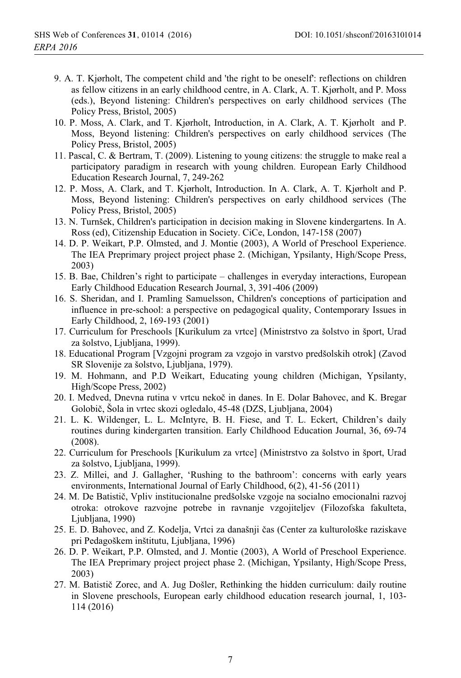- 9. A. T. Kiørholt. The competent child and 'the right to be oneself': reflections on children as fellow citizens in an early childhood centre, in A. Clark, A. T. Kjørholt, and P. Moss (eds.), Beyond listening: Children's perspectives on early childhood services (The Policy Press, Bristol, 2005)
- 10. P. Moss, A. Clark, and T. Kjørholt, Introduction, in A. Clark, A. T. Kjørholt and P. Moss, Beyond listening: Children's perspectives on early childhood services (The Policy Press, Bristol, 2005)
- 11. Pascal, C. & Bertram, T. (2009). Listening to young citizens: the struggle to make real a participatory paradigm in research with young children. European Early Childhood Education Research Journal, 7, 249-262
- 12. P. Moss, A. Clark, and T. Kjørholt, Introduction. In A. Clark, A. T. Kjørholt and P. Moss, Beyond listening: Children's perspectives on early childhood services (The Policy Press, Bristol, 2005)
- 13. N. Turnšek, Children's participation in decision making in Slovene kindergartens. In A. Ross (ed), Citizenship Education in Society. CiCe, London, 147-158 (2007)
- 14. D. P. Weikart, P.P. Olmsted, and J. Montie (2003), A World of Preschool Experience. The IEA Preprimary project project phase 2. (Michigan, Ypsilanty, High/Scope Press,  $2003)$
- 15. B. Bae, Children's right to participate challenges in everyday interactions, European Early Childhood Education Research Journal, 3, 391-406 (2009)
- 16. S. Sheridan, and I. Pramling Samuelsson, Children's conceptions of participation and influence in pre-school: a perspective on pedagogical quality, Contemporary Issues in Early Childhood, 2, 169-193 (2001)
- 17. Curriculum for Preschools [Kurikulum za vrtce] (Ministrstvo za šolstvo in šport, Urad za šolstvo, Ljubljana, 1999).
- 18. Educational Program [Vzgojni program za vzgojo in varstvo predšolskih otrok] (Zavod SR Slovenije za šolstvo, Ljubljana, 1979).
- 19. M. Hohmann, and P.D Weikart, Educating young children (Michigan, Ypsilanty, High/Scope Press, 2002)
- 20. I. Medved, Dnevna rutina v vrtcu nekoč in danes. In E. Dolar Bahovec, and K. Bregar Golobič, Šola in vrtec skozi ogledalo, 45-48 (DZS, Ljubljana, 2004)
- 21. L. K. Wildenger, L. L. McIntyre, B. H. Fiese, and T. L. Eckert, Children's daily routines during kindergarten transition. Early Childhood Education Journal, 36, 69-74  $(2008).$
- 22. Curriculum for Preschools [Kurikulum za vrtce] (Ministrstvo za šolstvo in šport, Urad za šolstvo, Ljubljana, 1999).
- 23. Z. Millei, and J. Gallagher, 'Rushing to the bathroom': concerns with early years environments, International Journal of Early Childhood, 6(2), 41-56 (2011)
- 24. M. De Batistič, Vpliv institucionalne predšolske vzgoje na socialno emocionalni razvoj otroka: otrokove razvojne potrebe in ravnanje vzgojiteljev (Filozofska fakulteta, Ljubljana, 1990)
- 25. E. D. Bahovec, and Z. Kodelja, Vrtci za današnji čas (Center za kulturološke raziskave pri Pedagoškem inštitutu, Ljubljana, 1996)
- 26. D. P. Weikart. P.P. Olmsted, and J. Montie (2003). A World of Preschool Experience. The IEA Preprimary project project phase 2. (Michigan, Ypsilanty, High/Scope Press,  $2003)$
- 27. M. Batistič Zorec, and A. Jug Došler, Rethinking the hidden curriculum: daily routine in Slovene preschools, European early childhood education research journal, 1, 103- $114(2016)$